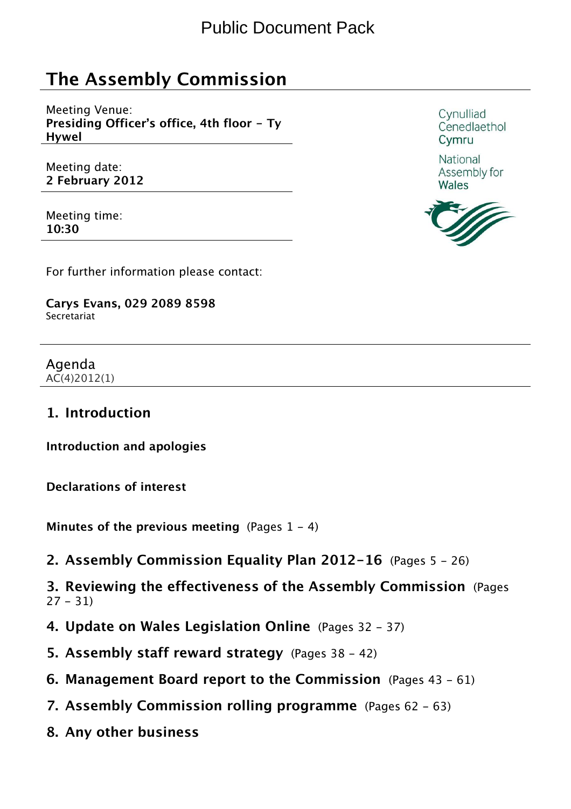# The Assembly Commission

Meeting Venue: Presiding Officer's office, 4th floor - Ty Hywel

Meeting date: 2 February 2012

Meeting time: 10:30

For further information please contact:

Carys Evans, 029 2089 8598 Secretariat

Agenda AC(4)2012(1)

#### 1. Introduction

Introduction and apologies

Declarations of interest

Minutes of the previous meeting (Pages  $1 - 4$ )

2. Assembly Commission Equality Plan 2012-16 (Pages 5 - 26)

3. Reviewing the effectiveness of the Assembly Commission (Pages  $27 - 31$ 

- 4. Update on Wales Legislation Online (Pages 32 37)
- 5. Assembly staff reward strategy (Pages 38 42)
- 6. Management Board report to the Commission (Pages 43 61)
- 7. Assembly Commission rolling programme (Pages 62 63)
- 8. Any other business

Cynulliad Cenedlaethol Cymru

National Assembly for Wales

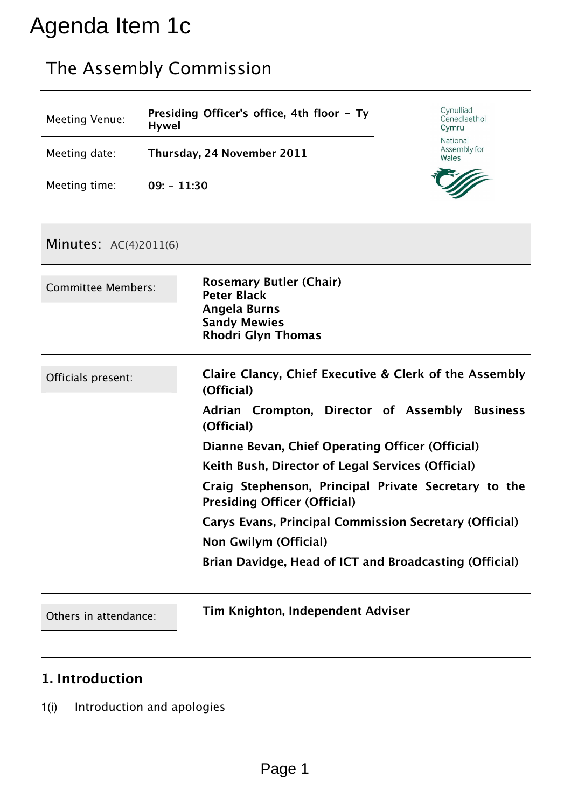# Agenda Item 1c

# The Assembly Commission

| Meeting Venue: | Presiding Officer's office, 4th floor - Ty<br><b>Hywel</b> | Cynulliad<br>Cenedlaethol<br>Cymru |
|----------------|------------------------------------------------------------|------------------------------------|
| Meeting date:  | Thursday, 24 November 2011                                 | National<br>Assembly for<br>Wales  |
| Meeting time:  | $09: -11:30$                                               |                                    |

#### Minutes: AC(4)2011(6)

| <b>Committee Members:</b> | <b>Rosemary Butler (Chair)</b><br><b>Peter Black</b><br><b>Angela Burns</b><br><b>Sandy Mewies</b><br><b>Rhodri Glyn Thomas</b> |
|---------------------------|---------------------------------------------------------------------------------------------------------------------------------|
| Officials present:        | Claire Clancy, Chief Executive & Clerk of the Assembly<br>(Official)                                                            |
|                           | Adrian Crompton, Director of Assembly Business<br>(Official)                                                                    |
|                           | Dianne Bevan, Chief Operating Officer (Official)                                                                                |
|                           | Keith Bush, Director of Legal Services (Official)                                                                               |
|                           | Craig Stephenson, Principal Private Secretary to the<br><b>Presiding Officer (Official)</b>                                     |
|                           | Carys Evans, Principal Commission Secretary (Official)                                                                          |
|                           | Non Gwilym (Official)                                                                                                           |
|                           | Brian Davidge, Head of ICT and Broadcasting (Official)                                                                          |
|                           |                                                                                                                                 |

Others in attendance: Tim Knighton, Independent Adviser

# 1. Introduction

1(i) Introduction and apologies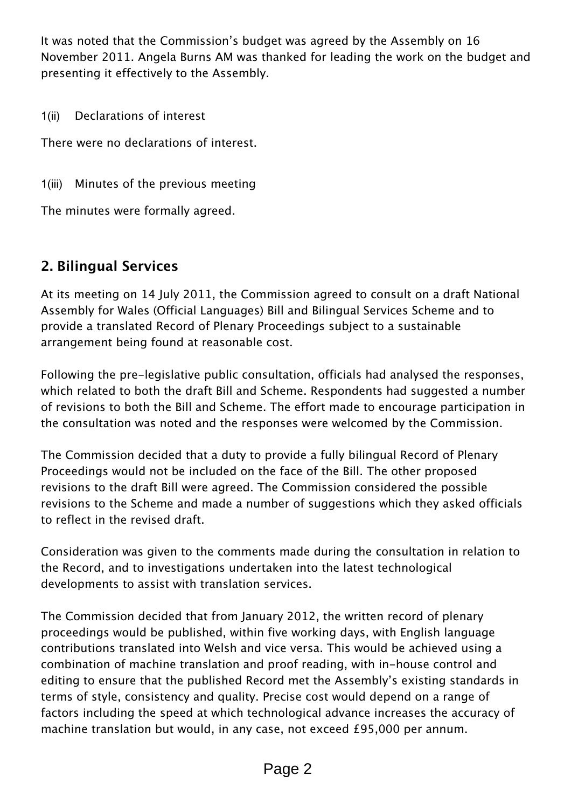It was noted that the Commission's budget was agreed by the Assembly on 16 November 2011. Angela Burns AM was thanked for leading the work on the budget and presenting it effectively to the Assembly.

1(ii) Declarations of interest

There were no declarations of interest.

1(iii) Minutes of the previous meeting

The minutes were formally agreed.

### 2. Bilingual Services

At its meeting on 14 July 2011, the Commission agreed to consult on a draft National Assembly for Wales (Official Languages) Bill and Bilingual Services Scheme and to provide a translated Record of Plenary Proceedings subject to a sustainable arrangement being found at reasonable cost.

Following the pre-legislative public consultation, officials had analysed the responses, which related to both the draft Bill and Scheme. Respondents had suggested a number of revisions to both the Bill and Scheme. The effort made to encourage participation in the consultation was noted and the responses were welcomed by the Commission.

The Commission decided that a duty to provide a fully bilingual Record of Plenary Proceedings would not be included on the face of the Bill. The other proposed revisions to the draft Bill were agreed. The Commission considered the possible revisions to the Scheme and made a number of suggestions which they asked officials to reflect in the revised draft.

Consideration was given to the comments made during the consultation in relation to the Record, and to investigations undertaken into the latest technological developments to assist with translation services.

The Commission decided that from January 2012, the written record of plenary proceedings would be published, within five working days, with English language contributions translated into Welsh and vice versa. This would be achieved using a combination of machine translation and proof reading, with in-house control and editing to ensure that the published Record met the Assembly's existing standards in terms of style, consistency and quality. Precise cost would depend on a range of factors including the speed at which technological advance increases the accuracy of machine translation but would, in any case, not exceed £95,000 per annum.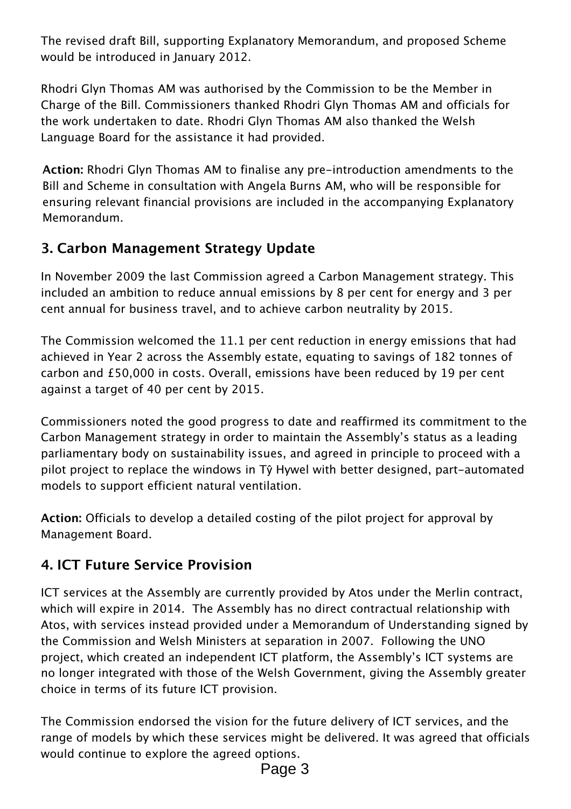The revised draft Bill, supporting Explanatory Memorandum, and proposed Scheme would be introduced in January 2012.

Rhodri Glyn Thomas AM was authorised by the Commission to be the Member in Charge of the Bill. Commissioners thanked Rhodri Glyn Thomas AM and officials for the work undertaken to date. Rhodri Glyn Thomas AM also thanked the Welsh Language Board for the assistance it had provided.

Action: Rhodri Glyn Thomas AM to finalise any pre-introduction amendments to the Bill and Scheme in consultation with Angela Burns AM, who will be responsible for ensuring relevant financial provisions are included in the accompanying Explanatory Memorandum.

# 3. Carbon Management Strategy Update

In November 2009 the last Commission agreed a Carbon Management strategy. This included an ambition to reduce annual emissions by 8 per cent for energy and 3 per cent annual for business travel, and to achieve carbon neutrality by 2015.

The Commission welcomed the 11.1 per cent reduction in energy emissions that had achieved in Year 2 across the Assembly estate, equating to savings of 182 tonnes of carbon and £50,000 in costs. Overall, emissions have been reduced by 19 per cent against a target of 40 per cent by 2015.

Commissioners noted the good progress to date and reaffirmed its commitment to the Carbon Management strategy in order to maintain the Assembly's status as a leading parliamentary body on sustainability issues, and agreed in principle to proceed with a pilot project to replace the windows in Tŷ Hywel with better designed, part-automated models to support efficient natural ventilation.

Action: Officials to develop a detailed costing of the pilot project for approval by Management Board.

# 4. ICT Future Service Provision

ICT services at the Assembly are currently provided by Atos under the Merlin contract, which will expire in 2014. The Assembly has no direct contractual relationship with Atos, with services instead provided under a Memorandum of Understanding signed by the Commission and Welsh Ministers at separation in 2007. Following the UNO project, which created an independent ICT platform, the Assembly's ICT systems are no longer integrated with those of the Welsh Government, giving the Assembly greater choice in terms of its future ICT provision.

The Commission endorsed the vision for the future delivery of ICT services, and the range of models by which these services might be delivered. It was agreed that officials would continue to explore the agreed options.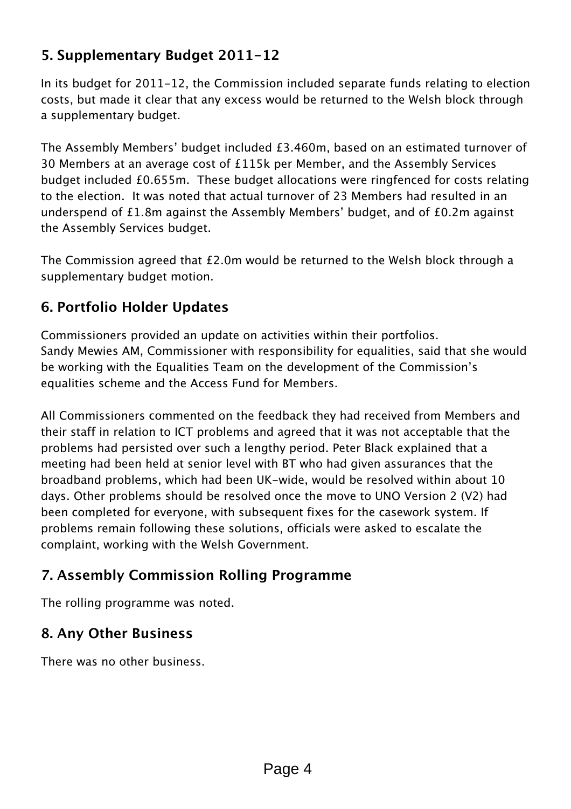### 5. Supplementary Budget 2011-12

In its budget for 2011-12, the Commission included separate funds relating to election costs, but made it clear that any excess would be returned to the Welsh block through a supplementary budget.

The Assembly Members' budget included £3.460m, based on an estimated turnover of 30 Members at an average cost of £115k per Member, and the Assembly Services budget included £0.655m. These budget allocations were ringfenced for costs relating to the election. It was noted that actual turnover of 23 Members had resulted in an underspend of £1.8m against the Assembly Members' budget, and of £0.2m against the Assembly Services budget.

The Commission agreed that £2.0m would be returned to the Welsh block through a supplementary budget motion.

### 6. Portfolio Holder Updates

Commissioners provided an update on activities within their portfolios. Sandy Mewies AM, Commissioner with responsibility for equalities, said that she would be working with the Equalities Team on the development of the Commission's equalities scheme and the Access Fund for Members.

All Commissioners commented on the feedback they had received from Members and their staff in relation to ICT problems and agreed that it was not acceptable that the problems had persisted over such a lengthy period. Peter Black explained that a meeting had been held at senior level with BT who had given assurances that the broadband problems, which had been UK-wide, would be resolved within about 10 days. Other problems should be resolved once the move to UNO Version 2 (V2) had been completed for everyone, with subsequent fixes for the casework system. If problems remain following these solutions, officials were asked to escalate the complaint, working with the Welsh Government.

# 7. Assembly Commission Rolling Programme

The rolling programme was noted.

### 8. Any Other Business

There was no other business.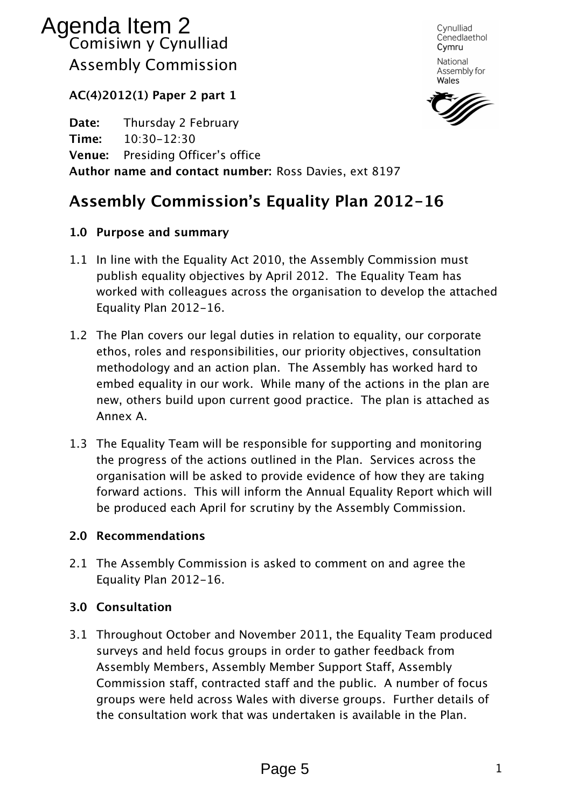# Comisiwn y Cynulliad Assembly Commission Agenda Item 2

Cynulliad Cenedlaethol Cymru National

Assembly for Wales

AC(4)2012(1) Paper 2 part 1

Date: *Thursday 2 February* Time: *10:30-12:30* Venue: *Presiding Officer's office* Author name and contact number: *Ross Davies, ext 8197* 

# Assembly Commission's Equality Plan 2012-16

#### 1.0 Purpose and summary

- *1.1 In line with the Equality Act 2010, the Assembly Commission must publish equality objectives by April 2012. The Equality Team has worked with colleagues across the organisation to develop the attached Equality Plan 2012-16.*
- *1.2 The Plan covers our legal duties in relation to equality, our corporate ethos, roles and responsibilities, our priority objectives, consultation methodology and an action plan. The Assembly has worked hard to embed equality in our work. While many of the actions in the plan are new, others build upon current good practice. The plan is attached as Annex A.*
- *1.3 The Equality Team will be responsible for supporting and monitoring the progress of the actions outlined in the Plan. Services across the organisation will be asked to provide evidence of how they are taking forward actions. This will inform the Annual Equality Report which will be produced each April for scrutiny by the Assembly Commission.*

#### 2.0 Recommendations

*2.1 The Assembly Commission is asked to comment on and agree the Equality Plan 2012-16.* 

#### 3.0 Consultation

*3.1 Throughout October and November 2011, the Equality Team produced surveys and held focus groups in order to gather feedback from Assembly Members, Assembly Member Support Staff, Assembly Commission staff, contracted staff and the public. A number of focus groups were held across Wales with diverse groups. Further details of the consultation work that was undertaken is available in the Plan.*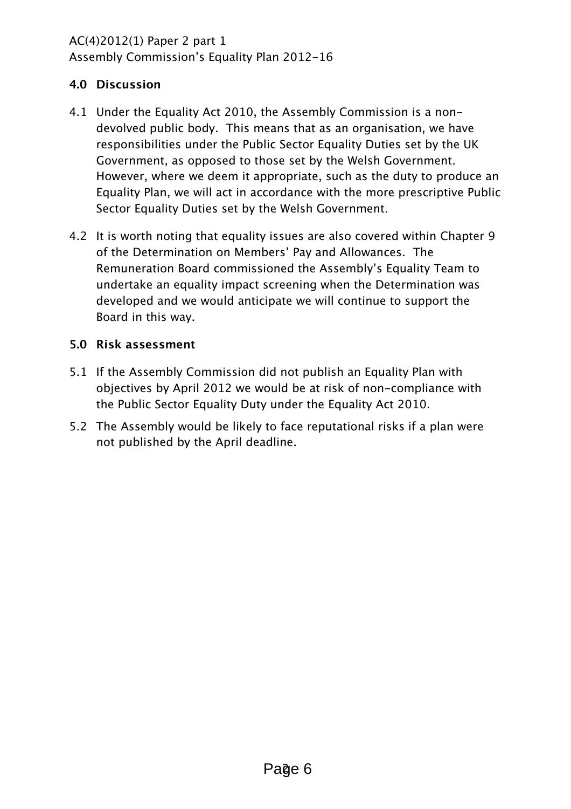# AC(4)2012(1) Paper 2 part 1

Assembly Commission's Equality Plan 2012-16

#### 4.0 Discussion

- 4.1 Under the Equality Act 2010, the Assembly Commission is a nondevolved public body. This means that as an organisation, we have responsibilities under the Public Sector Equality Duties set by the UK Government, as opposed to those set by the Welsh Government. However, where we deem it appropriate, such as the duty to produce an Equality Plan, we will act in accordance with the more prescriptive Public Sector Equality Duties set by the Welsh Government.
- 4.2 It is worth noting that equality issues are also covered within Chapter 9 of the Determination on Members' Pay and Allowances. The Remuneration Board commissioned the Assembly's Equality Team to undertake an equality impact screening when the Determination was developed and we would anticipate we will continue to support the Board in this way.

#### 5.0 Risk assessment

- 5.1 If the Assembly Commission did not publish an Equality Plan with objectives by April 2012 we would be at risk of non-compliance with the Public Sector Equality Duty under the Equality Act 2010.
- 5.2 The Assembly would be likely to face reputational risks if a plan were not published by the April deadline.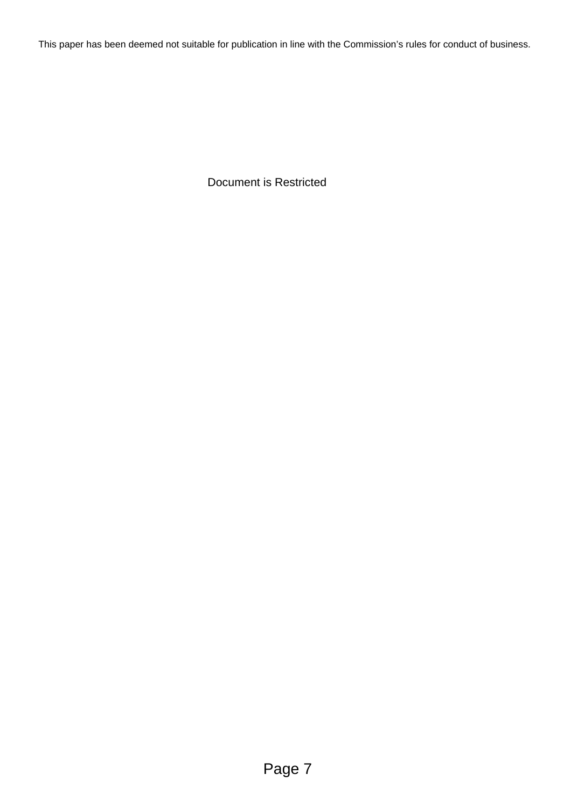This paper has been deemed not suitable for publication in line with the Commission's rules for conduct of business.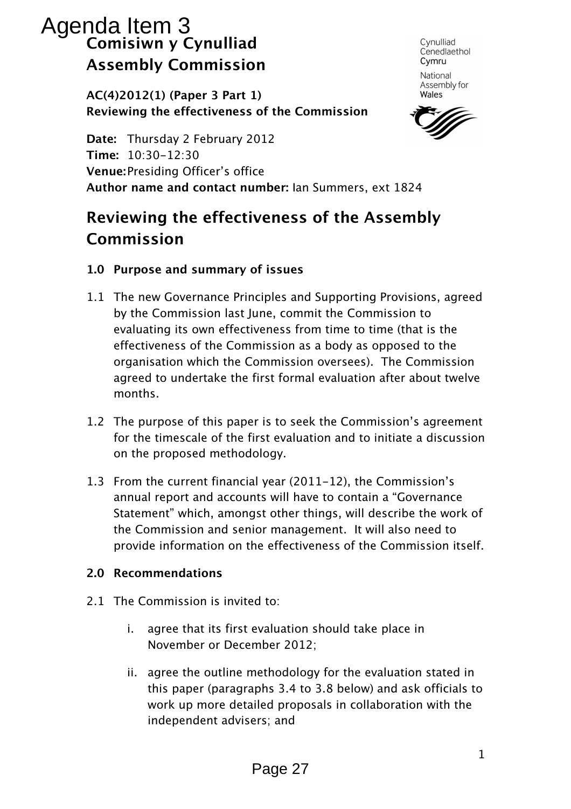# Comisiwn y Cynulliad Assembly Commission Agenda Item 3

Cynulliad Cenedlaethol Cymru

National Assembly for Wales

AC(4)2012(1) (Paper 3 Part 1) Reviewing the effectiveness of the Commission

Date: *Thursday 2 February 2012*  Time: *10:30-12:30*  Venue: *Presiding Officer's office*  Author name and contact number: *Ian Summers, ext 1824* 

# Reviewing the effectiveness of the Assembly Commission

- 1.0 Purpose and summary of issues
- *1.1 The new Governance Principles and Supporting Provisions, agreed by the Commission last June, commit the Commission to evaluating its own effectiveness from time to time (that is the effectiveness of the Commission as a body as opposed to the organisation which the Commission oversees). The Commission agreed to undertake the first formal evaluation after about twelve months.*
- *1.2 The purpose of this paper is to seek the Commission's agreement for the timescale of the first evaluation and to initiate a discussion on the proposed methodology.*
- *1.3 From the current financial year (2011-12), the Commission's annual report and accounts will have to contain a "Governance Statement" which, amongst other things, will describe the work of the Commission and senior management. It will also need to provide information on the effectiveness of the Commission itself.*

#### 2.0 Recommendations

- *2.1 The Commission is invited to:* 
	- *i. agree that its first evaluation should take place in November or December 2012;*
	- *ii. agree the outline methodology for the evaluation stated in this paper (paragraphs 3.4 to 3.8 below) and ask officials to work up more detailed proposals in collaboration with the independent advisers; and*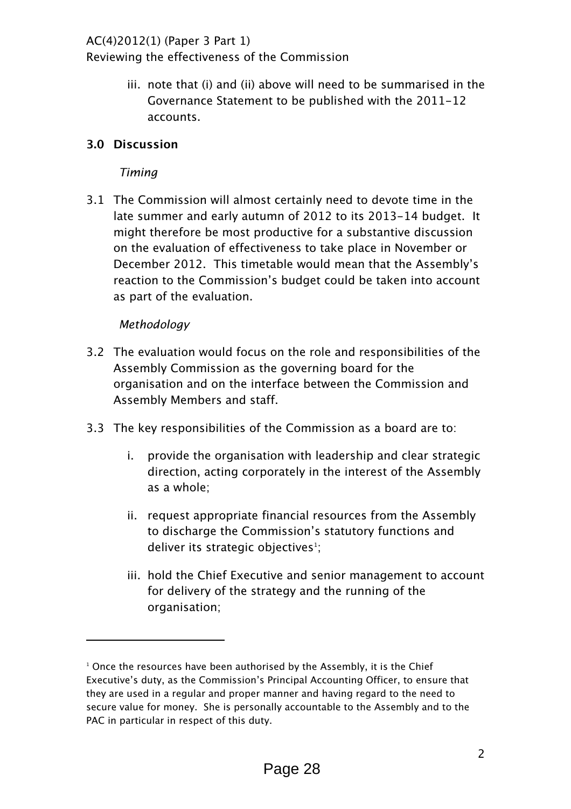#### *AC(4)2012(1) (Paper 3 Part 1)*

*Reviewing the effectiveness of the Commission* 

*iii. note that (i) and (ii) above will need to be summarised in the Governance Statement to be published with the 2011-12 accounts.* 

#### 3.0 Discussion

#### Timing

*3.1 The Commission will almost certainly need to devote time in the late summer and early autumn of 2012 to its 2013-14 budget. It might therefore be most productive for a substantive discussion on the evaluation of effectiveness to take place in November or December 2012. This timetable would mean that the Assembly's reaction to the Commission's budget could be taken into account as part of the evaluation.* 

#### Methodology

- *3.2 The evaluation would focus on the role and responsibilities of the Assembly Commission as the governing board for the organisation and on the interface between the Commission and Assembly Members and staff.*
- *3.3 The key responsibilities of the Commission as a board are to:* 
	- *i. provide the organisation with leadership and clear strategic direction, acting corporately in the interest of the Assembly as a whole;*
	- *ii. request appropriate financial resources from the Assembly to discharge the Commission's statutory functions and*  deliver its strategic objectives<sup>1</sup>;
	- iii. hold the Chief Executive and senior management to account *for delivery of the strategy and the running of the organisation;*

 $1$  Once the resources have been authorised by the Assembly, it is the Chief Executive's duty, as the Commission's Principal Accounting Officer, to ensure that they are used in a regular and proper manner and having regard to the need to secure value for money. She is personally accountable to the Assembly and to the PAC in particular in respect of this duty.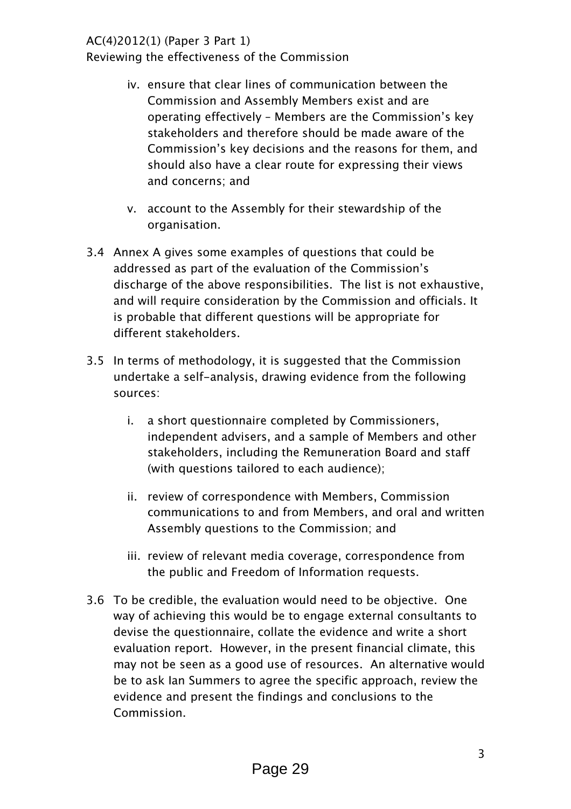#### *AC(4)2012(1) (Paper 3 Part 1)*

*Reviewing the effectiveness of the Commission* 

- *iv. ensure that clear lines of communication between the Commission and Assembly Members exist and are operating effectively – Members are the Commission's key stakeholders and therefore should be made aware of the Commission's key decisions and the reasons for them, and should also have a clear route for expressing their views and concerns; and*
- *v. account to the Assembly for their stewardship of the organisation.*
- *3.4 Annex A gives some examples of questions that could be addressed as part of the evaluation of the Commission's discharge of the above responsibilities. The list is not exhaustive, and will require consideration by the Commission and officials. It is probable that different questions will be appropriate for different stakeholders.*
- *3.5 In terms of methodology, it is suggested that the Commission undertake a self-analysis, drawing evidence from the following sources:* 
	- *i. a short questionnaire completed by Commissioners, independent advisers, and a sample of Members and other stakeholders, including the Remuneration Board and staff (with questions tailored to each audience);*
	- *ii. review of correspondence with Members, Commission communications to and from Members, and oral and written Assembly questions to the Commission; and*
	- *iii. review of relevant media coverage, correspondence from the public and Freedom of Information requests.*
- *3.6 To be credible, the evaluation would need to be objective. One way of achieving this would be to engage external consultants to devise the questionnaire, collate the evidence and write a short evaluation report. However, in the present financial climate, this may not be seen as a good use of resources. An alternative would be to ask Ian Summers to agree the specific approach, review the evidence and present the findings and conclusions to the Commission.*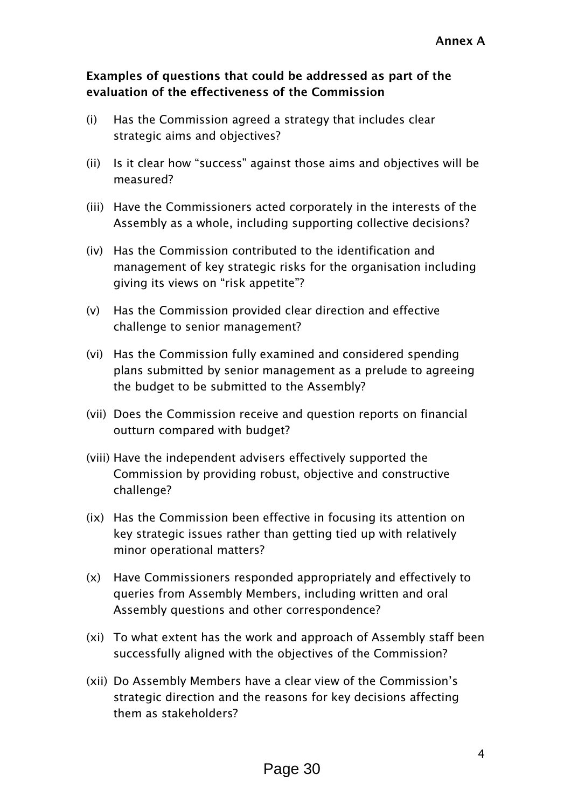#### Examples of questions that could be addressed as part of the evaluation of the effectiveness of the Commission

- *(i) Has the Commission agreed a strategy that includes clear strategic aims and objectives?*
- *(ii) Is it clear how "success" against those aims and objectives will be measured?*
- *(iii) Have the Commissioners acted corporately in the interests of the Assembly as a whole, including supporting collective decisions?*
- *(iv) Has the Commission contributed to the identification and management of key strategic risks for the organisation including giving its views on "risk appetite"?*
- *(v) Has the Commission provided clear direction and effective challenge to senior management?*
- *(vi) Has the Commission fully examined and considered spending plans submitted by senior management as a prelude to agreeing the budget to be submitted to the Assembly?*
- *(vii) Does the Commission receive and question reports on financial outturn compared with budget?*
- *(viii) Have the independent advisers effectively supported the Commission by providing robust, objective and constructive challenge?*
- *(ix) Has the Commission been effective in focusing its attention on key strategic issues rather than getting tied up with relatively minor operational matters?*
- *(x) Have Commissioners responded appropriately and effectively to queries from Assembly Members, including written and oral Assembly questions and other correspondence?*
- *(xi) To what extent has the work and approach of Assembly staff been successfully aligned with the objectives of the Commission?*
- *(xii) Do Assembly Members have a clear view of the Commission's strategic direction and the reasons for key decisions affecting them as stakeholders?*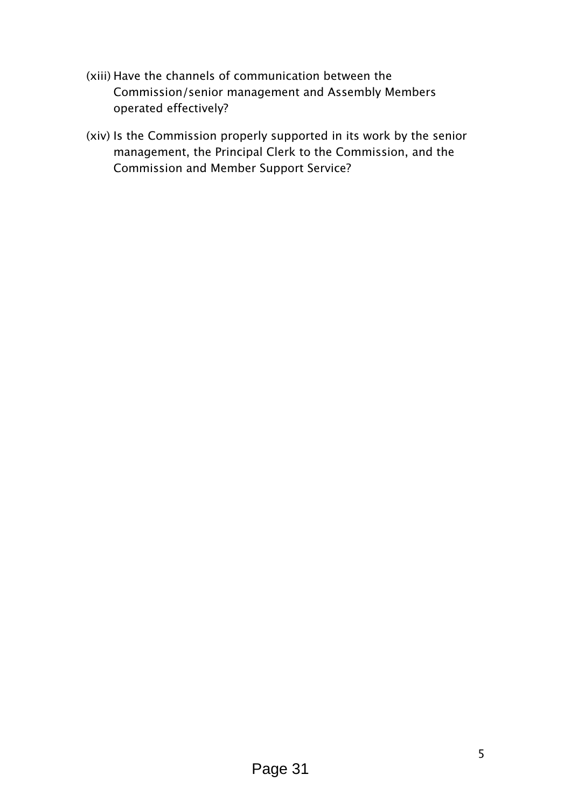- *(xiii) Have the channels of communication between the Commission/senior management and Assembly Members operated effectively?*
- *(xiv) Is the Commission properly supported in its work by the senior management, the Principal Clerk to the Commission, and the Commission and Member Support Service?*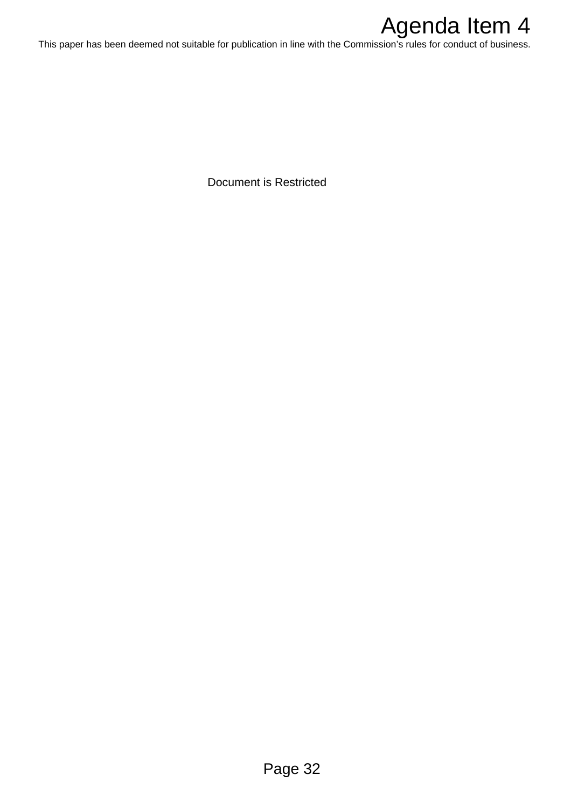# Agenda Item 4

This paper has been deemed not suitable for publication in line with the Commission's rules for conduct of business.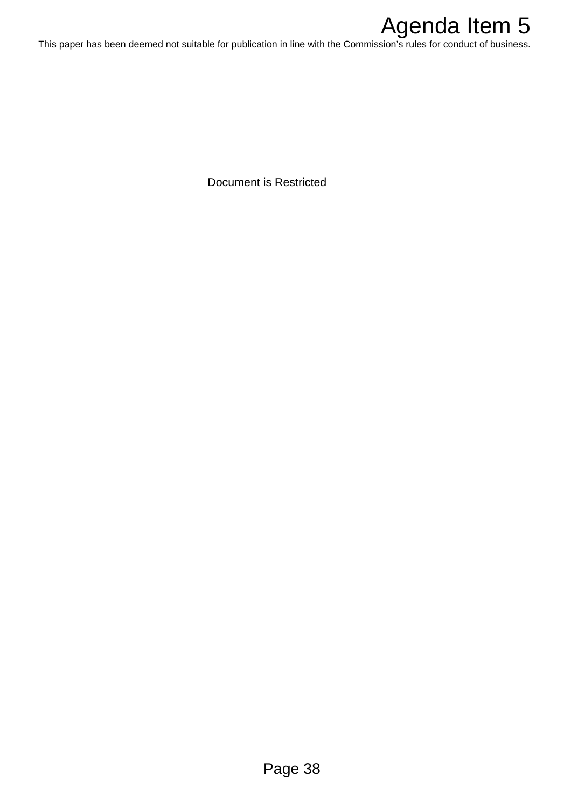

This paper has been deemed not suitable for publication in line with the Commission's rules for conduct of business.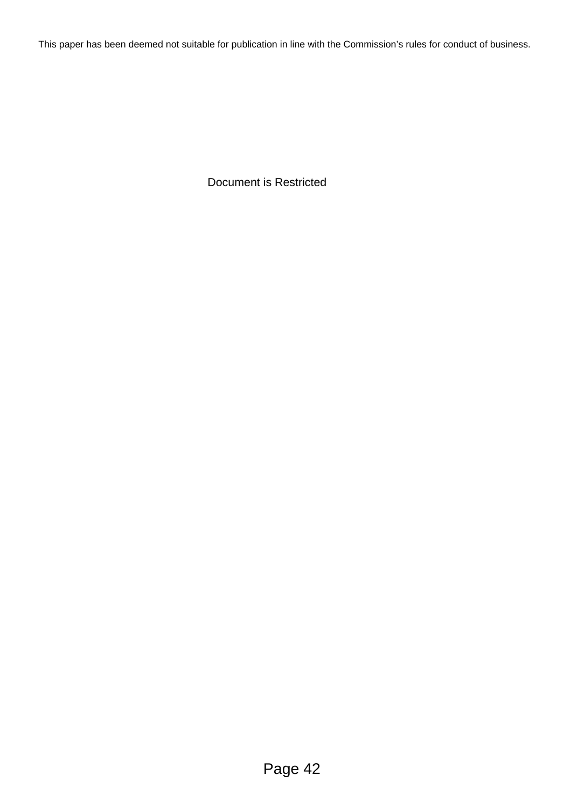This paper has been deemed not suitable for publication in line with the Commission's rules for conduct of business.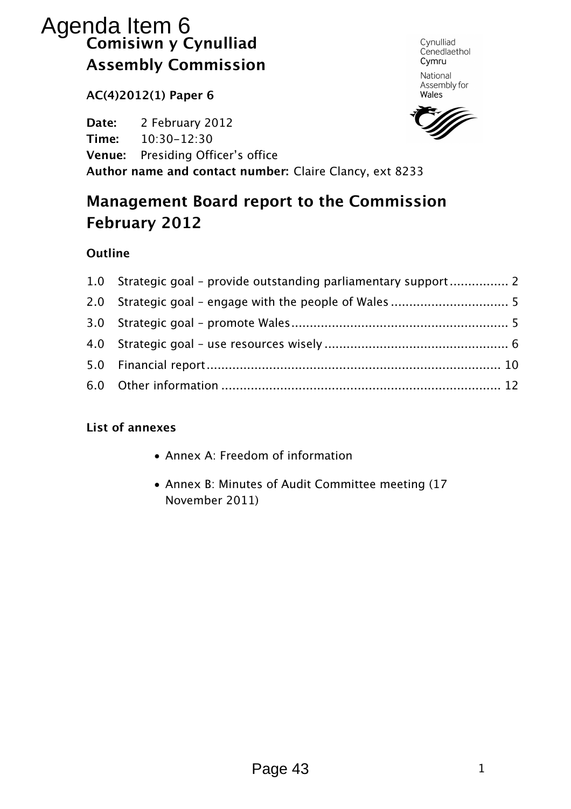# Comisiwn y Cynulliad Assembly Commission Agenda Item 6

AC(4)2012(1) Paper 6

Date: 2 February 2012 Time: 10:30-12:30 Venue: Presiding Officer's office Author name and contact number: Claire Clancy, ext 8233

# Management Board report to the Commission February 2012

#### **Outline**

| 1.0 Strategic goal - provide outstanding parliamentary support 2 |  |
|------------------------------------------------------------------|--|
|                                                                  |  |
|                                                                  |  |
|                                                                  |  |
|                                                                  |  |
|                                                                  |  |

#### List of annexes

- Annex A: Freedom of information
- Annex B: Minutes of Audit Committee meeting (17 November 2011)

Page 43

Cynulliad Cenedlaethol Cymru National Assembly for

Wales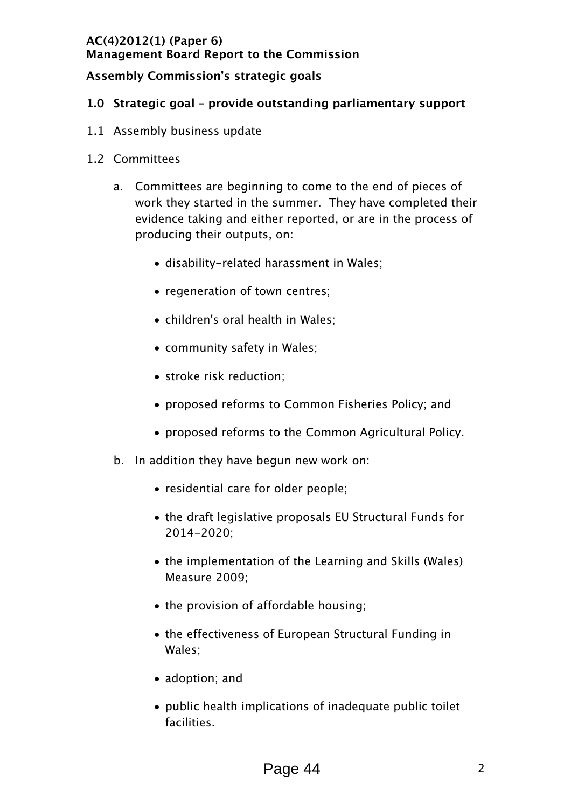#### Assembly Commission's strategic goals

#### 1.0 Strategic goal – provide outstanding parliamentary support

- 1.1 Assembly business update
- 1.2 Committees
	- a. Committees are beginning to come to the end of pieces of work they started in the summer. They have completed their evidence taking and either reported, or are in the process of producing their outputs, on:
		- disability-related harassment in Wales;
		- regeneration of town centres;
		- children's oral health in Wales;
		- community safety in Wales;
		- stroke risk reduction;
		- proposed reforms to Common Fisheries Policy; and
		- proposed reforms to the Common Agricultural Policy.
	- b. In addition they have begun new work on:
		- residential care for older people;
		- the draft legislative proposals EU Structural Funds for 2014-2020;
		- the implementation of the Learning and Skills (Wales) Measure 2009;
		- the provision of affordable housing;
		- the effectiveness of European Structural Funding in Wales;
		- adoption; and
		- public health implications of inadequate public toilet facilities.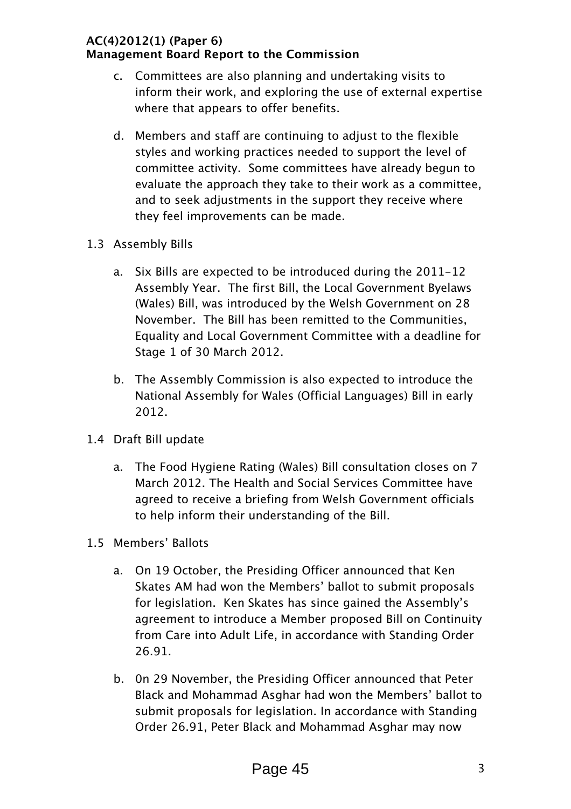- c. Committees are also planning and undertaking visits to inform their work, and exploring the use of external expertise where that appears to offer benefits.
- d. Members and staff are continuing to adjust to the flexible styles and working practices needed to support the level of committee activity. Some committees have already begun to evaluate the approach they take to their work as a committee, and to seek adjustments in the support they receive where they feel improvements can be made.
- 1.3 Assembly Bills
	- a. Six Bills are expected to be introduced during the 2011-12 Assembly Year. The first Bill, the Local Government Byelaws (Wales) Bill, was introduced by the Welsh Government on 28 November. The Bill has been remitted to the Communities, Equality and Local Government Committee with a deadline for Stage 1 of 30 March 2012.
	- b. The Assembly Commission is also expected to introduce the National Assembly for Wales (Official Languages) Bill in early 2012.
- 1.4 Draft Bill update
	- a. The Food Hygiene Rating (Wales) Bill consultation closes on 7 March 2012. The Health and Social Services Committee have agreed to receive a briefing from Welsh Government officials to help inform their understanding of the Bill.
- 1.5 Members' Ballots
	- a. On 19 October, the Presiding Officer announced that Ken Skates AM had won the Members' ballot to submit proposals for legislation. Ken Skates has since gained the Assembly's agreement to introduce a Member proposed Bill on Continuity from Care into Adult Life, in accordance with Standing Order 26.91.
	- b. 0n 29 November, the Presiding Officer announced that Peter Black and Mohammad Asghar had won the Members' ballot to submit proposals for legislation. In accordance with Standing Order 26.91, Peter Black and Mohammad Asghar may now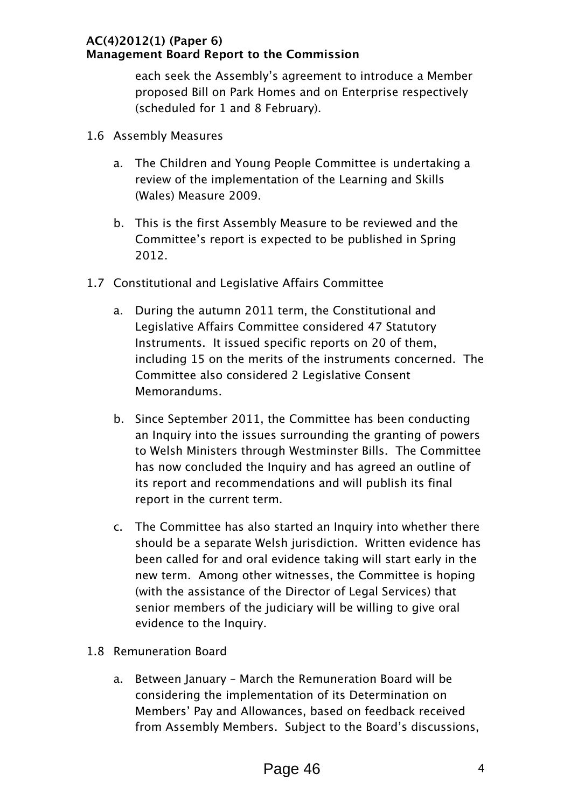each seek the Assembly's agreement to introduce a Member proposed Bill on Park Homes and on Enterprise respectively (scheduled for 1 and 8 February).

- 1.6 Assembly Measures
	- a. The Children and Young People Committee is undertaking a review of the implementation of the Learning and Skills (Wales) Measure 2009.
	- b. This is the first Assembly Measure to be reviewed and the Committee's report is expected to be published in Spring 2012.
- 1.7 Constitutional and Legislative Affairs Committee
	- a. During the autumn 2011 term, the Constitutional and Legislative Affairs Committee considered 47 Statutory Instruments. It issued specific reports on 20 of them, including 15 on the merits of the instruments concerned. The Committee also considered 2 Legislative Consent Memorandums.
	- b. Since September 2011, the Committee has been conducting an Inquiry into the issues surrounding the granting of powers to Welsh Ministers through Westminster Bills. The Committee has now concluded the Inquiry and has agreed an outline of its report and recommendations and will publish its final report in the current term.
	- c. The Committee has also started an Inquiry into whether there should be a separate Welsh jurisdiction. Written evidence has been called for and oral evidence taking will start early in the new term. Among other witnesses, the Committee is hoping (with the assistance of the Director of Legal Services) that senior members of the judiciary will be willing to give oral evidence to the Inquiry.
- 1.8 Remuneration Board
	- a. Between January March the Remuneration Board will be considering the implementation of its Determination on Members' Pay and Allowances, based on feedback received from Assembly Members. Subject to the Board's discussions,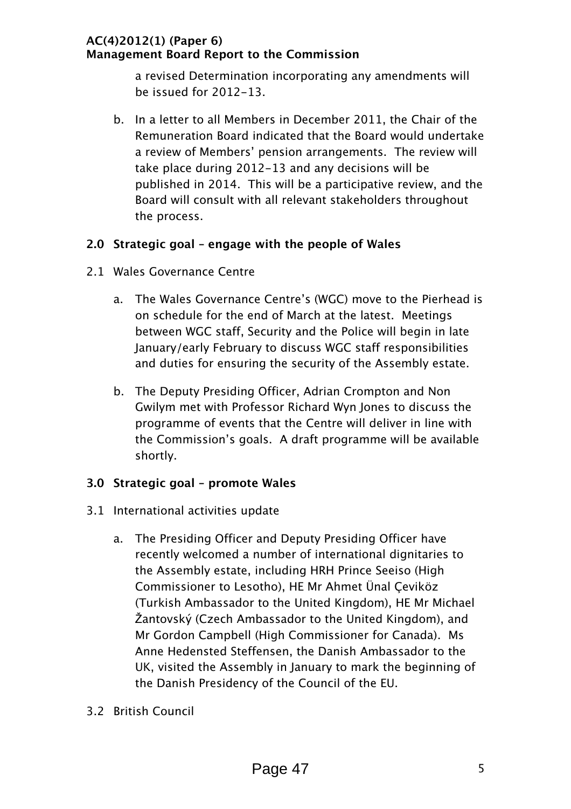a revised Determination incorporating any amendments will be issued for 2012-13.

b. In a letter to all Members in December 2011, the Chair of the Remuneration Board indicated that the Board would undertake a review of Members' pension arrangements. The review will take place during 2012-13 and any decisions will be published in 2014. This will be a participative review, and the Board will consult with all relevant stakeholders throughout the process.

#### 2.0 Strategic goal – engage with the people of Wales

- 2.1 Wales Governance Centre
	- a. The Wales Governance Centre's (WGC) move to the Pierhead is on schedule for the end of March at the latest. Meetings between WGC staff, Security and the Police will begin in late January/early February to discuss WGC staff responsibilities and duties for ensuring the security of the Assembly estate.
	- b. The Deputy Presiding Officer, Adrian Crompton and Non Gwilym met with Professor Richard Wyn Jones to discuss the programme of events that the Centre will deliver in line with the Commission's goals. A draft programme will be available shortly.

#### 3.0 Strategic goal – promote Wales

- 3.1 International activities update
	- a. The Presiding Officer and Deputy Presiding Officer have recently welcomed a number of international dignitaries to the Assembly estate, including HRH Prince Seeiso (High Commissioner to Lesotho), HE Mr Ahmet Ünal Çeviköz (Turkish Ambassador to the United Kingdom), HE Mr Michael Žantovský (Czech Ambassador to the United Kingdom), and Mr Gordon Campbell (High Commissioner for Canada). Ms Anne Hedensted Steffensen, the Danish Ambassador to the UK, visited the Assembly in January to mark the beginning of the Danish Presidency of the Council of the EU.
- 3.2 British Council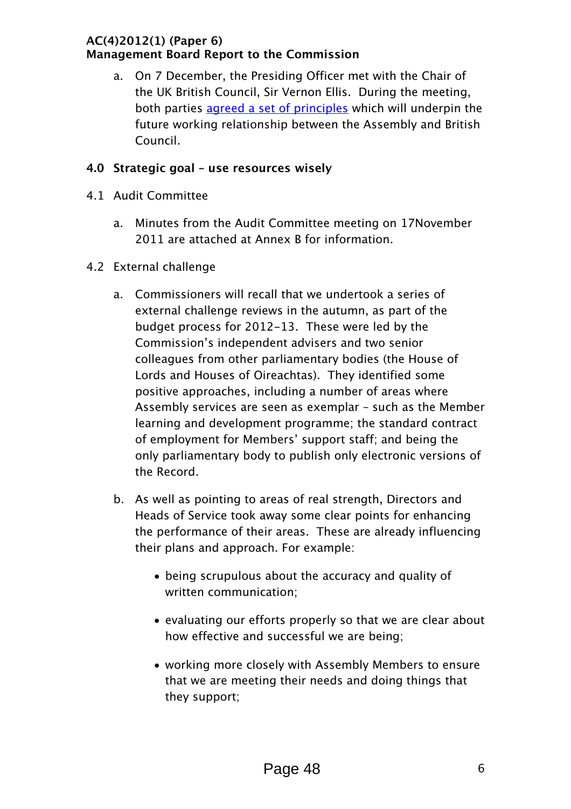a. On 7 December, the Presiding Officer met with the Chair of the UK British Council, Sir Vernon Ellis. During the meeting, both parties agreed a set of principles which will underpin the future working relationship between the Assembly and British Council.

#### 4.0 Strategic goal – use resources wisely

- 4.1 Audit Committee
	- a. Minutes from the Audit Committee meeting on 17November 2011 are attached at Annex B for information.
- 4.2 External challenge
	- a. Commissioners will recall that we undertook a series of external challenge reviews in the autumn, as part of the budget process for 2012-13. These were led by the Commission's independent advisers and two senior colleagues from other parliamentary bodies (the House of Lords and Houses of Oireachtas). They identified some positive approaches, including a number of areas where Assembly services are seen as exemplar – such as the Member learning and development programme; the standard contract of employment for Members' support staff; and being the only parliamentary body to publish only electronic versions of the Record.
	- b. As well as pointing to areas of real strength, Directors and Heads of Service took away some clear points for enhancing the performance of their areas. These are already influencing their plans and approach. For example:
		- being scrupulous about the accuracy and quality of written communication;
		- evaluating our efforts properly so that we are clear about how effective and successful we are being;
		- working more closely with Assembly Members to ensure that we are meeting their needs and doing things that they support;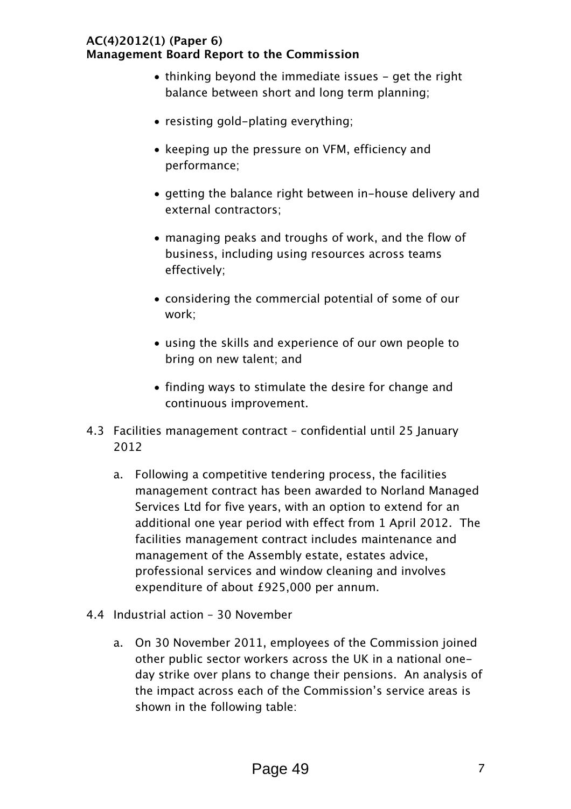- thinking beyond the immediate issues get the right balance between short and long term planning;
- resisting gold-plating everything;
- keeping up the pressure on VFM, efficiency and performance;
- getting the balance right between in-house delivery and external contractors;
- managing peaks and troughs of work, and the flow of business, including using resources across teams effectively;
- considering the commercial potential of some of our work;
- using the skills and experience of our own people to bring on new talent; and
- finding ways to stimulate the desire for change and continuous improvement.
- 4.3 Facilities management contract confidential until 25 January 2012
	- a. Following a competitive tendering process, the facilities management contract has been awarded to Norland Managed Services Ltd for five years, with an option to extend for an additional one year period with effect from 1 April 2012. The facilities management contract includes maintenance and management of the Assembly estate, estates advice, professional services and window cleaning and involves expenditure of about £925,000 per annum.
- 4.4 Industrial action 30 November
	- a. On 30 November 2011, employees of the Commission joined other public sector workers across the UK in a national oneday strike over plans to change their pensions. An analysis of the impact across each of the Commission's service areas is shown in the following table: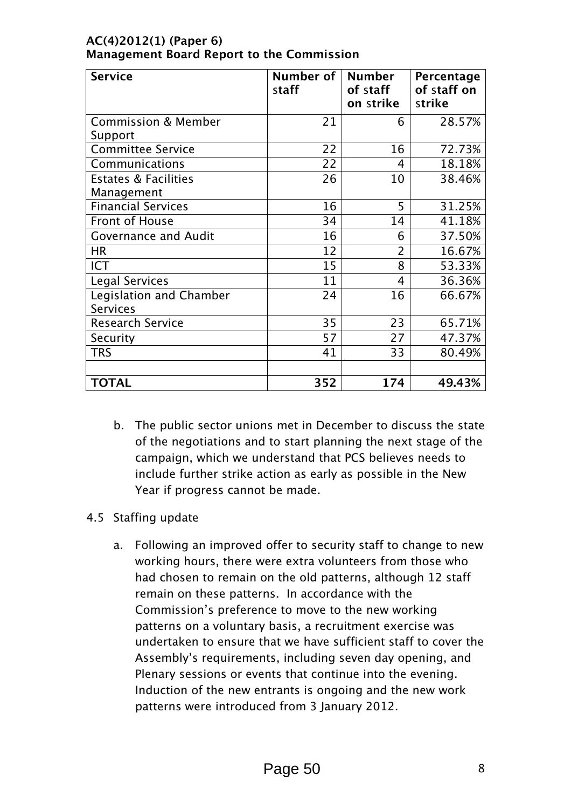| <b>Service</b>                                | Number of<br>staff | <b>Number</b><br>of staff<br>on strike | Percentage<br>of staff on<br>strike |
|-----------------------------------------------|--------------------|----------------------------------------|-------------------------------------|
| <b>Commission &amp; Member</b><br>Support     | 21                 | 6                                      | 28.57%                              |
| <b>Committee Service</b>                      | 22                 | 16                                     | 72.73%                              |
| Communications                                | 22                 | 4                                      | 18.18%                              |
| <b>Estates &amp; Facilities</b><br>Management | 26                 | 10                                     | 38.46%                              |
| <b>Financial Services</b>                     | 16                 | 5                                      | 31.25%                              |
| Front of House                                | 34                 | 14                                     | 41.18%                              |
| <b>Governance and Audit</b>                   | 16                 | 6                                      | 37.50%                              |
| <b>HR</b>                                     | 12                 | $\overline{2}$                         | 16.67%                              |
| <b>ICT</b>                                    | 15                 | 8                                      | 53.33%                              |
| <b>Legal Services</b>                         | 11                 | 4                                      | 36.36%                              |
| Legislation and Chamber<br><b>Services</b>    | 24                 | 16                                     | 66.67%                              |
| <b>Research Service</b>                       | 35                 | 23                                     | 65.71%                              |
| Security                                      | 57                 | 27                                     | 47.37%                              |
| <b>TRS</b>                                    | 41                 | 33                                     | 80.49%                              |
|                                               |                    |                                        |                                     |
| <b>TOTAL</b>                                  | 352                | 174                                    | 49.43%                              |

b. The public sector unions met in December to discuss the state of the negotiations and to start planning the next stage of the campaign, which we understand that PCS believes needs to include further strike action as early as possible in the New Year if progress cannot be made.

#### 4.5 Staffing update

a. Following an improved offer to security staff to change to new working hours, there were extra volunteers from those who had chosen to remain on the old patterns, although 12 staff remain on these patterns. In accordance with the Commission's preference to move to the new working patterns on a voluntary basis, a recruitment exercise was undertaken to ensure that we have sufficient staff to cover the Assembly's requirements, including seven day opening, and Plenary sessions or events that continue into the evening. Induction of the new entrants is ongoing and the new work patterns were introduced from 3 January 2012.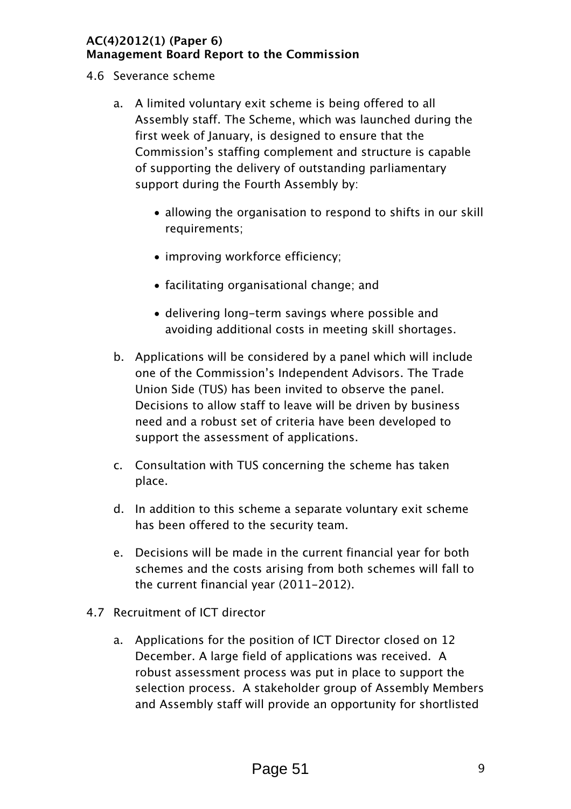- 4.6 Severance scheme
	- a. A limited voluntary exit scheme is being offered to all Assembly staff. The Scheme, which was launched during the first week of January, is designed to ensure that the Commission's staffing complement and structure is capable of supporting the delivery of outstanding parliamentary support during the Fourth Assembly by:
		- allowing the organisation to respond to shifts in our skill requirements;
		- improving workforce efficiency;
		- facilitating organisational change; and
		- delivering long-term savings where possible and avoiding additional costs in meeting skill shortages.
	- b. Applications will be considered by a panel which will include one of the Commission's Independent Advisors. The Trade Union Side (TUS) has been invited to observe the panel. Decisions to allow staff to leave will be driven by business need and a robust set of criteria have been developed to support the assessment of applications.
	- c. Consultation with TUS concerning the scheme has taken place.
	- d. In addition to this scheme a separate voluntary exit scheme has been offered to the security team.
	- e. Decisions will be made in the current financial year for both schemes and the costs arising from both schemes will fall to the current financial year (2011-2012).
- 4.7 Recruitment of ICT director
	- a. Applications for the position of ICT Director closed on 12 December. A large field of applications was received. A robust assessment process was put in place to support the selection process. A stakeholder group of Assembly Members and Assembly staff will provide an opportunity for shortlisted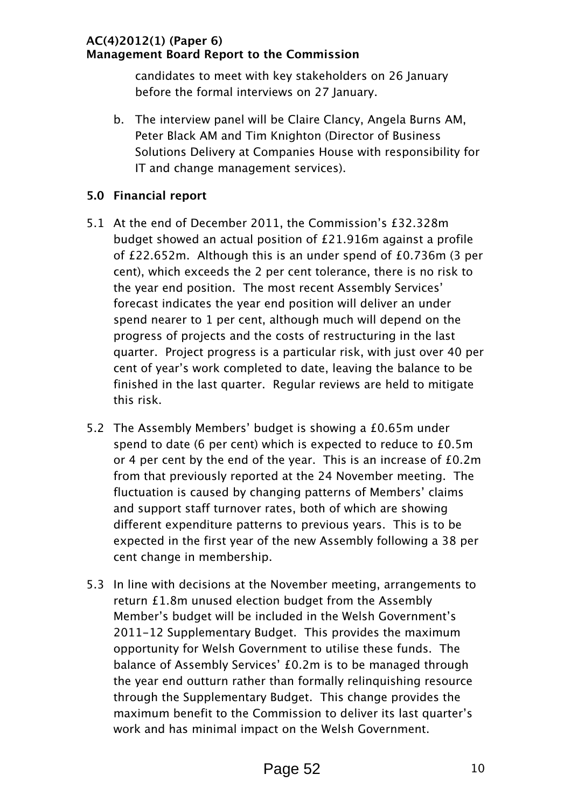candidates to meet with key stakeholders on 26 January before the formal interviews on 27 January.

b. The interview panel will be Claire Clancy, Angela Burns AM, Peter Black AM and Tim Knighton (Director of Business Solutions Delivery at Companies House with responsibility for IT and change management services).

#### 5.0 Financial report

- 5.1 At the end of December 2011, the Commission's £32.328m budget showed an actual position of £21.916m against a profile of £22.652m. Although this is an under spend of £0.736m (3 per cent), which exceeds the 2 per cent tolerance, there is no risk to the year end position. The most recent Assembly Services' forecast indicates the year end position will deliver an under spend nearer to 1 per cent, although much will depend on the progress of projects and the costs of restructuring in the last quarter. Project progress is a particular risk, with just over 40 per cent of year's work completed to date, leaving the balance to be finished in the last quarter. Regular reviews are held to mitigate this risk.
- 5.2 The Assembly Members' budget is showing a £0.65m under spend to date (6 per cent) which is expected to reduce to £0.5m or 4 per cent by the end of the year. This is an increase of £0.2m from that previously reported at the 24 November meeting. The fluctuation is caused by changing patterns of Members' claims and support staff turnover rates, both of which are showing different expenditure patterns to previous years. This is to be expected in the first year of the new Assembly following a 38 per cent change in membership.
- 5.3 In line with decisions at the November meeting, arrangements to return £1.8m unused election budget from the Assembly Member's budget will be included in the Welsh Government's 2011-12 Supplementary Budget. This provides the maximum opportunity for Welsh Government to utilise these funds. The balance of Assembly Services' £0.2m is to be managed through the year end outturn rather than formally relinquishing resource through the Supplementary Budget. This change provides the maximum benefit to the Commission to deliver its last quarter's work and has minimal impact on the Welsh Government.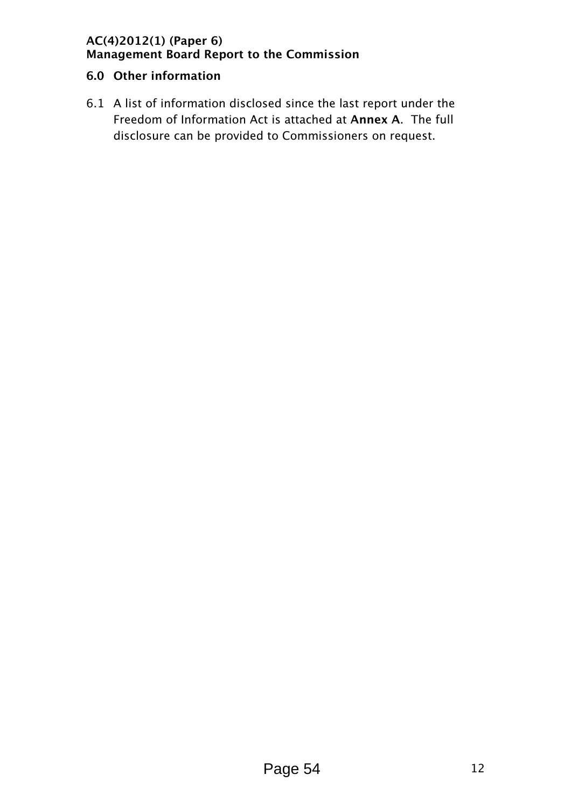#### 6.0 Other information

6.1 A list of information disclosed since the last report under the Freedom of Information Act is attached at Annex A. The full disclosure can be provided to Commissioners on request.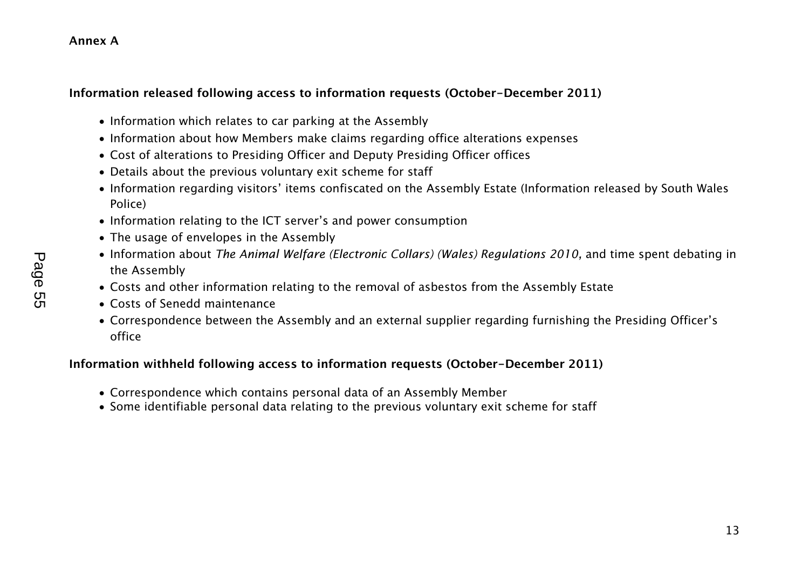#### Annex A

#### Information released following access to information requests (October-December 2011)

- Information which relates to car parking at the Assembly
- Information about how Members make claims regarding office alterations expenses
- Cost of alterations to Presiding Officer and Deputy Presiding Officer offices
- Details about the previous voluntary exit scheme for staff
- Information regarding visitors' items confiscated on the Assembly Estate (Information released by South Wales Police)
- Information relating to the ICT server's and power consumption
- The usage of envelopes in the Assembly
- Information about The Animal Welfare (Electronic Collars) (Wales) Regulations 2010, and time spent debating in the Assembly
- Costs and other information relating to the removal of asbestos from the Assembly Estate
- Costs of Senedd maintenance
- Correspondence between the Assembly and an external supplier regarding furnishing the Presiding Officer's office

#### Information withheld following access to information requests (October-December 2011)

- Correspondence which contains personal data of an Assembly Member
- Some identifiable personal data relating to the previous voluntary exit scheme for staff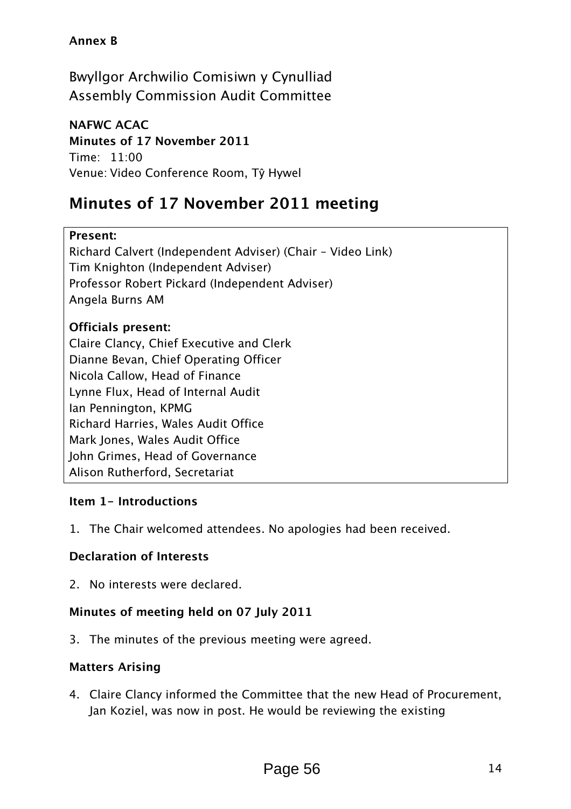#### Annex B

Bwyllgor Archwilio Comisiwn y Cynulliad Assembly Commission Audit Committee

NAFWC ACAC Minutes of 17 November 2011 *Time: 11:00 Venue: Video Conference Room, T*ŷ *Hywel* 

# Minutes of 17 November 2011 meeting

#### Present:

*Richard Calvert (Independent Adviser) (Chair – Video Link) Tim Knighton (Independent Adviser) Professor Robert Pickard (Independent Adviser) Angela Burns AM* 

#### Officials present:

*Claire Clancy, Chief Executive and Clerk Dianne Bevan, Chief Operating Officer Nicola Callow, Head of Finance Lynne Flux, Head of Internal Audit Ian Pennington, KPMG Richard Harries, Wales Audit Office Mark Jones, Wales Audit Office John Grimes, Head of Governance Alison Rutherford, Secretariat* 

#### Item 1- Introductions

*1. The Chair welcomed attendees. No apologies had been received.* 

#### Declaration of Interests

*2. No interests were declared.* 

#### Minutes of meeting held on 07 July 2011

*3. The minutes of the previous meeting were agreed.* 

#### Matters Arising

*4. Claire Clancy informed the Committee that the new Head of Procurement, Jan Koziel, was now in post. He would be reviewing the existing*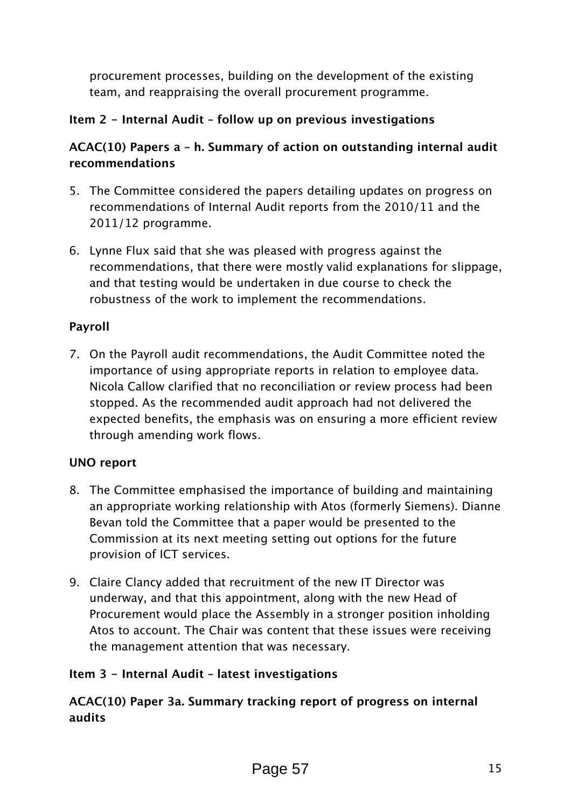*procurement processes, building on the development of the existing team, and reappraising the overall procurement programme.* 

#### Item 2 - Internal Audit – follow up on previous investigations

#### ACAC(10) Papers a – h. Summary of action on outstanding internal audit recommendations

- *5. The Committee considered the papers detailing updates on progress on recommendations of Internal Audit reports from the 2010/11 and the 2011/12 programme.*
- *6. Lynne Flux said that she was pleased with progress against the recommendations, that there were mostly valid explanations for slippage, and that testing would be undertaken in due course to check the robustness of the work to implement the recommendations.*

#### Payroll

*7. On the Payroll audit recommendations, the Audit Committee noted the importance of using appropriate reports in relation to employee data. Nicola Callow clarified that no reconciliation or review process had been stopped. As the recommended audit approach had not delivered the expected benefits, the emphasis was on ensuring a more efficient review through amending work flows.* 

#### UNO report

- *8. The Committee emphasised the importance of building and maintaining an appropriate working relationship with Atos (formerly Siemens). Dianne Bevan told the Committee that a paper would be presented to the Commission at its next meeting setting out options for the future provision of ICT services.*
- *9. Claire Clancy added that recruitment of the new IT Director was underway, and that this appointment, along with the new Head of Procurement would place the Assembly in a stronger position inholding Atos to account. The Chair was content that these issues were receiving the management attention that was necessary.*

#### Item 3 - Internal Audit – latest investigations

#### ACAC(10) Paper 3a. Summary tracking report of progress on internal audits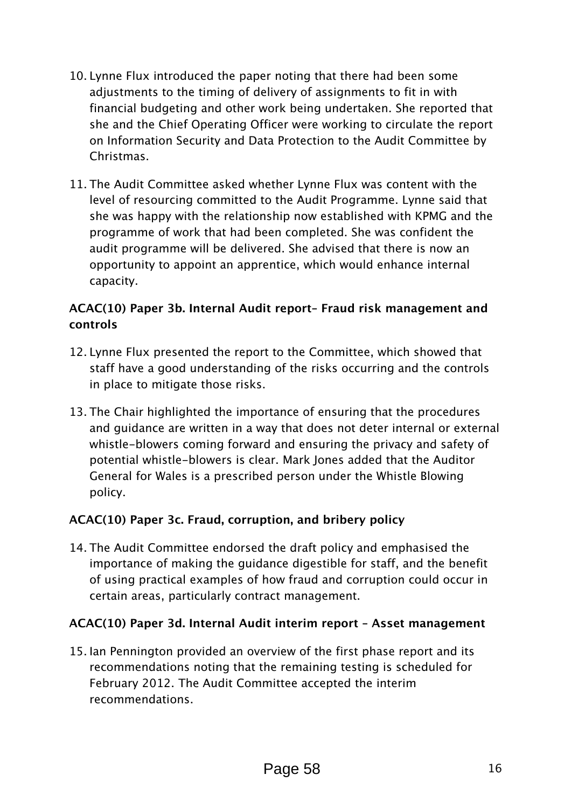- *10. Lynne Flux introduced the paper noting that there had been some adjustments to the timing of delivery of assignments to fit in with financial budgeting and other work being undertaken. She reported that she and the Chief Operating Officer were working to circulate the report on Information Security and Data Protection to the Audit Committee by Christmas.*
- *11. The Audit Committee asked whether Lynne Flux was content with the level of resourcing committed to the Audit Programme. Lynne said that she was happy with the relationship now established with KPMG and the programme of work that had been completed. She was confident the audit programme will be delivered. She advised that there is now an opportunity to appoint an apprentice, which would enhance internal capacity.*

#### ACAC(10) Paper 3b. Internal Audit report– Fraud risk management and controls

- *12. Lynne Flux presented the report to the Committee, which showed that staff have a good understanding of the risks occurring and the controls in place to mitigate those risks.*
- *13. The Chair highlighted the importance of ensuring that the procedures*  and guidance are written in a way that does not deter internal or external *whistle-blowers coming forward and ensuring the privacy and safety of potential whistle-blowers is clear. Mark Jones added that the Auditor General for Wales is a prescribed person under the Whistle Blowing policy.*

#### ACAC(10) Paper 3c. Fraud, corruption, and bribery policy

*14. The Audit Committee endorsed the draft policy and emphasised the importance of making the guidance digestible for staff, and the benefit of using practical examples of how fraud and corruption could occur in certain areas, particularly contract management.* 

#### ACAC(10) Paper 3d. Internal Audit interim report – Asset management

*15. Ian Pennington provided an overview of the first phase report and its recommendations noting that the remaining testing is scheduled for February 2012. The Audit Committee accepted the interim recommendations.*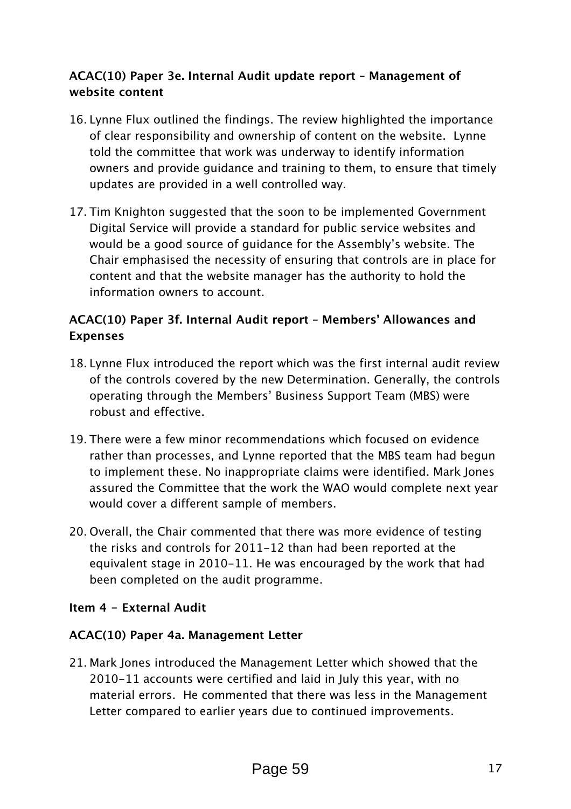#### ACAC(10) Paper 3e. Internal Audit update report – Management of website content

- *16. Lynne Flux outlined the findings. The review highlighted the importance of clear responsibility and ownership of content on the website. Lynne told the committee that work was underway to identify information owners and provide guidance and training to them, to ensure that timely updates are provided in a well controlled way.*
- *17. Tim Knighton suggested that the soon to be implemented Government Digital Service will provide a standard for public service websites and would be a good source of guidance for the Assembly's website. The Chair emphasised the necessity of ensuring that controls are in place for content and that the website manager has the authority to hold the information owners to account.*

#### ACAC(10) Paper 3f. Internal Audit report – Members' Allowances and Expenses

- *18. Lynne Flux introduced the report which was the first internal audit review of the controls covered by the new Determination. Generally, the controls operating through the Members' Business Support Team (MBS) were robust and effective.*
- *19. There were a few minor recommendations which focused on evidence rather than processes, and Lynne reported that the MBS team had begun to implement these. No inappropriate claims were identified. Mark Jones assured the Committee that the work the WAO would complete next year would cover a different sample of members.*
- *20. Overall, the Chair commented that there was more evidence of testing the risks and controls for 2011-12 than had been reported at the equivalent stage in 2010-11. He was encouraged by the work that had been completed on the audit programme.*

#### Item 4 - External Audit

#### ACAC(10) Paper 4a. Management Letter

*21. Mark Jones introduced the Management Letter which showed that the 2010-11 accounts were certified and laid in July this year, with no material errors. He commented that there was less in the Management Letter compared to earlier years due to continued improvements.*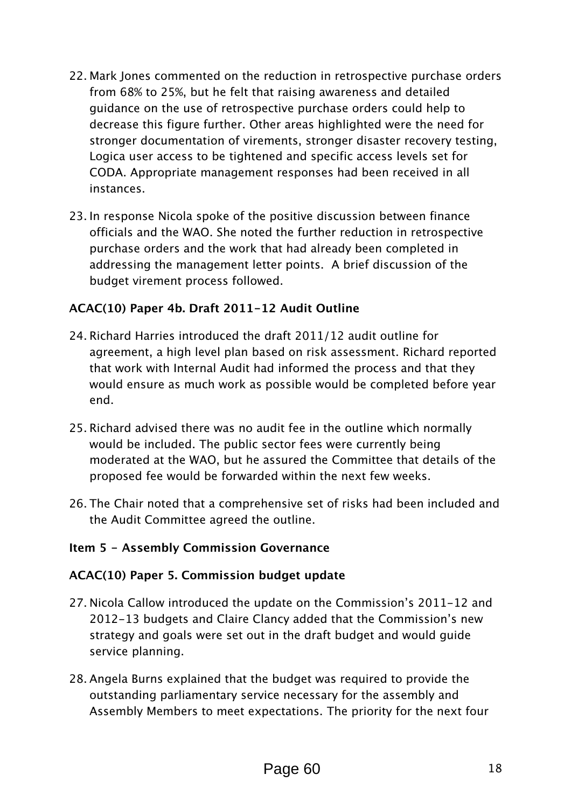- *22. Mark Jones commented on the reduction in retrospective purchase orders from 68% to 25%, but he felt that raising awareness and detailed guidance on the use of retrospective purchase orders could help to decrease this figure further. Other areas highlighted were the need for stronger documentation of virements, stronger disaster recovery testing, Logica user access to be tightened and specific access levels set for CODA. Appropriate management responses had been received in all instances.*
- *23. In response Nicola spoke of the positive discussion between finance officials and the WAO. She noted the further reduction in retrospective purchase orders and the work that had already been completed in addressing the management letter points. A brief discussion of the budget virement process followed.*

#### ACAC(10) Paper 4b. Draft 2011-12 Audit Outline

- *24. Richard Harries introduced the draft 2011/12 audit outline for agreement, a high level plan based on risk assessment. Richard reported that work with Internal Audit had informed the process and that they would ensure as much work as possible would be completed before year end.*
- *25. Richard advised there was no audit fee in the outline which normally*  would be included. The public sector fees were currently being *moderated at the WAO, but he assured the Committee that details of the proposed fee would be forwarded within the next few weeks.*
- *26. The Chair noted that a comprehensive set of risks had been included and the Audit Committee agreed the outline.*

#### Item 5 - Assembly Commission Governance

#### ACAC(10) Paper 5. Commission budget update

- *27. Nicola Callow introduced the update on the Commission's 2011-12 and 2012-13 budgets and Claire Clancy added that the Commission's new strategy and goals were set out in the draft budget and would guide service planning.*
- *28. Angela Burns explained that the budget was required to provide the outstanding parliamentary service necessary for the assembly and Assembly Members to meet expectations. The priority for the next four*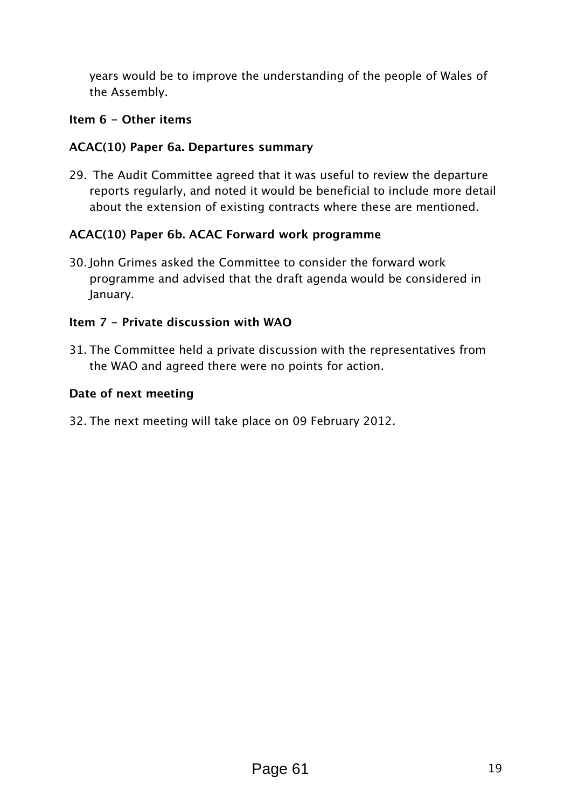*years would be to improve the understanding of the people of Wales of the Assembly.* 

#### Item 6 - Other items

#### ACAC(10) Paper 6a. Departures summary

*29. The Audit Committee agreed that it was useful to review the departure reports regularly, and noted it would be beneficial to include more detail about the extension of existing contracts where these are mentioned.* 

#### ACAC(10) Paper 6b. ACAC Forward work programme

*30. John Grimes asked the Committee to consider the forward work programme and advised that the draft agenda would be considered in January.* 

#### Item 7 - Private discussion with WAO

*31. The Committee held a private discussion with the representatives from the WAO and agreed there were no points for action.* 

#### Date of next meeting

*32. The next meeting will take place on 09 February 2012.*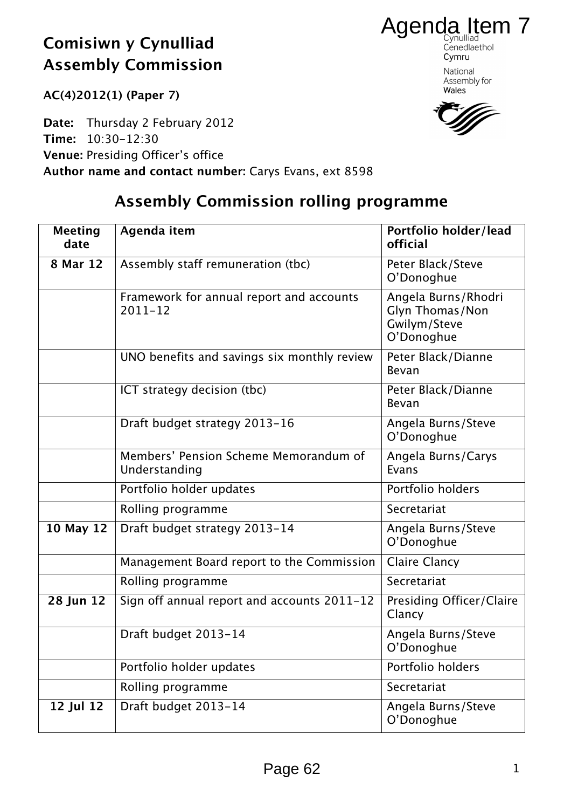AC(4)2012(1) (Paper 7)

Date: Thursday 2 February 2012 Time: 10:30-12:30 Venue: Presiding Officer's office Author name and contact number: Carys Evans, ext 8598

Cenedlaethol Cymru National Assembly for Wales

Agenda Item 7

# Assembly Commission rolling programme

| <b>Meeting</b><br>date | Agenda item                                             | Portfolio holder/lead<br>official                                    |
|------------------------|---------------------------------------------------------|----------------------------------------------------------------------|
| 8 Mar 12               | Assembly staff remuneration (tbc)                       | Peter Black/Steve<br>O'Donoghue                                      |
|                        | Framework for annual report and accounts<br>$2011 - 12$ | Angela Burns/Rhodri<br>Glyn Thomas/Non<br>Gwilym/Steve<br>O'Donoghue |
|                        | UNO benefits and savings six monthly review             | Peter Black/Dianne<br>Bevan                                          |
|                        | ICT strategy decision (tbc)                             | Peter Black/Dianne<br>Bevan                                          |
|                        | Draft budget strategy 2013-16                           | Angela Burns/Steve<br>O'Donoghue                                     |
|                        | Members' Pension Scheme Memorandum of<br>Understanding  | Angela Burns/Carys<br>Evans                                          |
|                        | Portfolio holder updates                                | Portfolio holders                                                    |
|                        | Rolling programme                                       | Secretariat                                                          |
| 10 May 12              | Draft budget strategy 2013-14                           | Angela Burns/Steve<br>O'Donoghue                                     |
|                        | Management Board report to the Commission               | <b>Claire Clancy</b>                                                 |
|                        | Rolling programme                                       | Secretariat                                                          |
| 28 Jun 12              | Sign off annual report and accounts 2011-12             | Presiding Officer/Claire<br>Clancy                                   |
|                        | Draft budget 2013-14                                    | Angela Burns/Steve<br>O'Donoghue                                     |
|                        | Portfolio holder updates                                | Portfolio holders                                                    |
|                        | Rolling programme                                       | Secretariat                                                          |
| 12 Jul 12              | Draft budget 2013-14                                    | Angela Burns/Steve<br>O'Donoghue                                     |